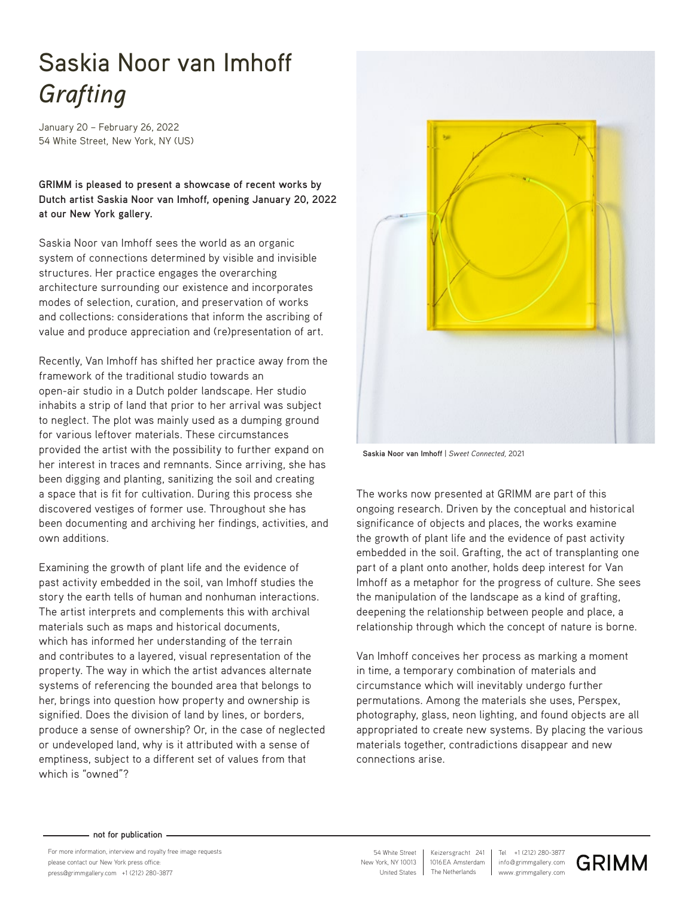## Saskia Noor van Imhoff *Grafting*

January 20 – February 26, 2022 54 White Street, New York, NY (US)

**GRIMM is pleased to present a showcase of recent works by Dutch artist Saskia Noor van Imhoff, opening January 20, 2022 at our New York gallery.** 

Saskia Noor van Imhoff sees the world as an organic system of connections determined by visible and invisible structures. Her practice engages the overarching architecture surrounding our existence and incorporates modes of selection, curation, and preservation of works and collections: considerations that inform the ascribing of value and produce appreciation and (re)presentation of art.

Recently, Van Imhoff has shifted her practice away from the framework of the traditional studio towards an open-air studio in a Dutch polder landscape. Her studio inhabits a strip of land that prior to her arrival was subject to neglect. The plot was mainly used as a dumping ground for various leftover materials. These circumstances provided the artist with the possibility to further expand on her interest in traces and remnants. Since arriving, she has been digging and planting, sanitizing the soil and creating a space that is fit for cultivation. During this process she discovered vestiges of former use. Throughout she has been documenting and archiving her findings, activities, and own additions.

Examining the growth of plant life and the evidence of past activity embedded in the soil, van Imhoff studies the story the earth tells of human and nonhuman interactions. The artist interprets and complements this with archival materials such as maps and historical documents, which has informed her understanding of the terrain and contributes to a layered, visual representation of the property. The way in which the artist advances alternate systems of referencing the bounded area that belongs to her, brings into question how property and ownership is signified. Does the division of land by lines, or borders, produce a sense of ownership? Or, in the case of neglected or undeveloped land, why is it attributed with a sense of emptiness, subject to a different set of values from that which is "owned"?



**Saskia Noor van Imhoff** | *Sweet Connected,* 2021

The works now presented at GRIMM are part of this ongoing research. Driven by the conceptual and historical significance of objects and places, the works examine the growth of plant life and the evidence of past activity embedded in the soil. Grafting, the act of transplanting one part of a plant onto another, holds deep interest for Van Imhoff as a metaphor for the progress of culture. She sees the manipulation of the landscape as a kind of grafting, deepening the relationship between people and place, a relationship through which the concept of nature is borne.

Van Imhoff conceives her process as marking a moment in time, a temporary combination of materials and circumstance which will inevitably undergo further permutations. Among the materials she uses, Perspex, photography, glass, neon lighting, and found objects are all appropriated to create new systems. By placing the various materials together, contradictions disappear and new connections arise.

## **not for publication**

For more information, interview and royalty free image requests please contact our New York press office: press@grimmgallery.com +1 (212) 280-3877 www.grimmgallery.com

New York, NY 10013 54 White Street United States

info@grimmgallery.com Tel +1 (212) 280-3877 1016EA Amsterdam Keizersgracht 241 The Netherlands

**GRIMM**